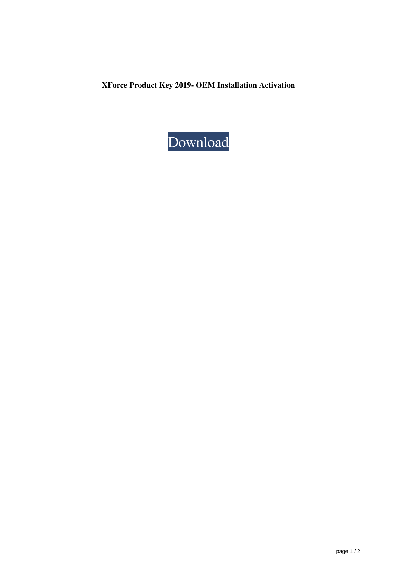**XForce Product Key 2019- OEM Installation Activation**